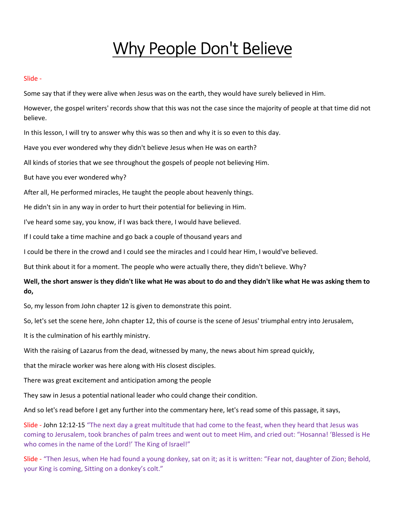# Why People Don't Believe

#### Slide -

Some say that if they were alive when Jesus was on the earth, they would have surely believed in Him.

However, the gospel writers' records show that this was not the case since the majority of people at that time did not believe.

In this lesson, I will try to answer why this was so then and why it is so even to this day.

Have you ever wondered why they didn't believe Jesus when He was on earth?

All kinds of stories that we see throughout the gospels of people not believing Him.

But have you ever wondered why?

After all, He performed miracles, He taught the people about heavenly things.

He didn't sin in any way in order to hurt their potential for believing in Him.

I've heard some say, you know, if I was back there, I would have believed.

If I could take a time machine and go back a couple of thousand years and

I could be there in the crowd and I could see the miracles and I could hear Him, I would've believed.

But think about it for a moment. The people who were actually there, they didn't believe. Why?

# Well, the short answer is they didn't like what He was about to do and they didn't like what He was asking them to do,

So, my lesson from John chapter 12 is given to demonstrate this point.

So, let's set the scene here, John chapter 12, this of course is the scene of Jesus' triumphal entry into Jerusalem,

It is the culmination of his earthly ministry.

With the raising of Lazarus from the dead, witnessed by many, the news about him spread quickly,

that the miracle worker was here along with His closest disciples.

There was great excitement and anticipation among the people

They saw in Jesus a potential national leader who could change their condition.

And so let's read before I get any further into the commentary here, let's read some of this passage, it says,

Slide - John 12:12-15 "The next day a great multitude that had come to the feast, when they heard that Jesus was coming to Jerusalem, took branches of palm trees and went out to meet Him, and cried out: "Hosanna! 'Blessed is He who comes in the name of the Lord!' The King of Israel!"

Slide - "Then Jesus, when He had found a young donkey, sat on it; as it is written: "Fear not, daughter of Zion; Behold, your King is coming, Sitting on a donkey's colt."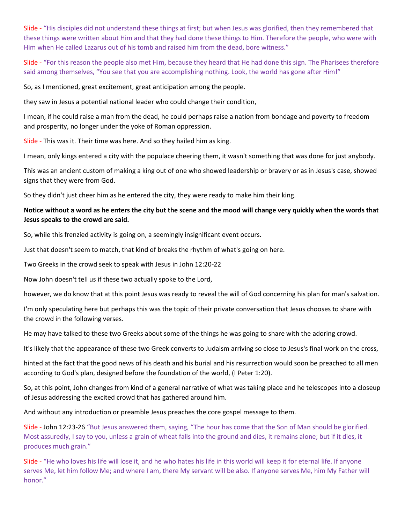Slide - "His disciples did not understand these things at first; but when Jesus was glorified, then they remembered that these things were written about Him and that they had done these things to Him. Therefore the people, who were with Him when He called Lazarus out of his tomb and raised him from the dead, bore witness."

Slide - "For this reason the people also met Him, because they heard that He had done this sign. The Pharisees therefore said among themselves, "You see that you are accomplishing nothing. Look, the world has gone after Him!"

So, as I mentioned, great excitement, great anticipation among the people.

they saw in Jesus a potential national leader who could change their condition,

I mean, if he could raise a man from the dead, he could perhaps raise a nation from bondage and poverty to freedom and prosperity, no longer under the yoke of Roman oppression.

Slide - This was it. Their time was here. And so they hailed him as king.

I mean, only kings entered a city with the populace cheering them, it wasn't something that was done for just anybody.

This was an ancient custom of making a king out of one who showed leadership or bravery or as in Jesus's case, showed signs that they were from God.

So they didn't just cheer him as he entered the city, they were ready to make him their king.

## Notice without a word as he enters the city but the scene and the mood will change very quickly when the words that Jesus speaks to the crowd are said.

So, while this frenzied activity is going on, a seemingly insignificant event occurs.

Just that doesn't seem to match, that kind of breaks the rhythm of what's going on here.

Two Greeks in the crowd seek to speak with Jesus in John 12:20-22

Now John doesn't tell us if these two actually spoke to the Lord,

however, we do know that at this point Jesus was ready to reveal the will of God concerning his plan for man's salvation.

I'm only speculating here but perhaps this was the topic of their private conversation that Jesus chooses to share with the crowd in the following verses.

He may have talked to these two Greeks about some of the things he was going to share with the adoring crowd.

It's likely that the appearance of these two Greek converts to Judaism arriving so close to Jesus's final work on the cross,

hinted at the fact that the good news of his death and his burial and his resurrection would soon be preached to all men according to God's plan, designed before the foundation of the world, (I Peter 1:20).

So, at this point, John changes from kind of a general narrative of what was taking place and he telescopes into a closeup of Jesus addressing the excited crowd that has gathered around him.

And without any introduction or preamble Jesus preaches the core gospel message to them.

Slide - John 12:23-26 "But Jesus answered them, saying, "The hour has come that the Son of Man should be glorified. Most assuredly, I say to you, unless a grain of wheat falls into the ground and dies, it remains alone; but if it dies, it produces much grain."

Slide - "He who loves his life will lose it, and he who hates his life in this world will keep it for eternal life. If anyone serves Me, let him follow Me; and where I am, there My servant will be also. If anyone serves Me, him My Father will honor."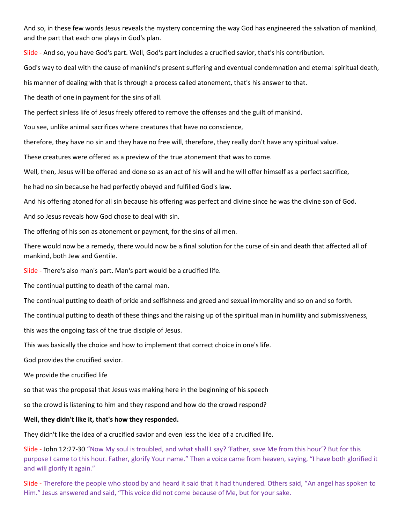And so, in these few words Jesus reveals the mystery concerning the way God has engineered the salvation of mankind, and the part that each one plays in God's plan.

Slide - And so, you have God's part. Well, God's part includes a crucified savior, that's his contribution.

God's way to deal with the cause of mankind's present suffering and eventual condemnation and eternal spiritual death,

his manner of dealing with that is through a process called atonement, that's his answer to that.

The death of one in payment for the sins of all.

The perfect sinless life of Jesus freely offered to remove the offenses and the guilt of mankind.

You see, unlike animal sacrifices where creatures that have no conscience,

therefore, they have no sin and they have no free will, therefore, they really don't have any spiritual value.

These creatures were offered as a preview of the true atonement that was to come.

Well, then, Jesus will be offered and done so as an act of his will and he will offer himself as a perfect sacrifice,

he had no sin because he had perfectly obeyed and fulfilled God's law.

And his offering atoned for all sin because his offering was perfect and divine since he was the divine son of God.

And so Jesus reveals how God chose to deal with sin.

The offering of his son as atonement or payment, for the sins of all men.

There would now be a remedy, there would now be a final solution for the curse of sin and death that affected all of mankind, both Jew and Gentile.

Slide - There's also man's part. Man's part would be a crucified life.

The continual putting to death of the carnal man.

The continual putting to death of pride and selfishness and greed and sexual immorality and so on and so forth.

The continual putting to death of these things and the raising up of the spiritual man in humility and submissiveness,

this was the ongoing task of the true disciple of Jesus.

This was basically the choice and how to implement that correct choice in one's life.

God provides the crucified savior.

We provide the crucified life

so that was the proposal that Jesus was making here in the beginning of his speech

so the crowd is listening to him and they respond and how do the crowd respond?

#### Well, they didn't like it, that's how they responded.

They didn't like the idea of a crucified savior and even less the idea of a crucified life.

Slide - John 12:27-30 "Now My soul is troubled, and what shall I say? 'Father, save Me from this hour'? But for this purpose I came to this hour. Father, glorify Your name." Then a voice came from heaven, saying, "I have both glorified it and will glorify it again."

Slide - Therefore the people who stood by and heard it said that it had thundered. Others said, "An angel has spoken to Him." Jesus answered and said, "This voice did not come because of Me, but for your sake.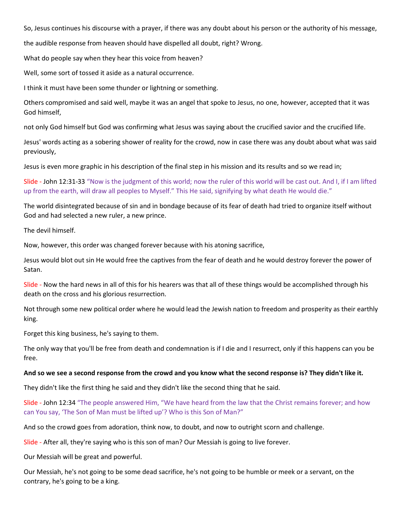So, Jesus continues his discourse with a prayer, if there was any doubt about his person or the authority of his message,

the audible response from heaven should have dispelled all doubt, right? Wrong.

What do people say when they hear this voice from heaven?

Well, some sort of tossed it aside as a natural occurrence.

I think it must have been some thunder or lightning or something.

Others compromised and said well, maybe it was an angel that spoke to Jesus, no one, however, accepted that it was God himself,

not only God himself but God was confirming what Jesus was saying about the crucified savior and the crucified life.

Jesus' words acting as a sobering shower of reality for the crowd, now in case there was any doubt about what was said previously,

Jesus is even more graphic in his description of the final step in his mission and its results and so we read in;

Slide - John 12:31-33 "Now is the judgment of this world; now the ruler of this world will be cast out. And I, if I am lifted up from the earth, will draw all peoples to Myself." This He said, signifying by what death He would die."

The world disintegrated because of sin and in bondage because of its fear of death had tried to organize itself without God and had selected a new ruler, a new prince.

The devil himself.

Now, however, this order was changed forever because with his atoning sacrifice,

Jesus would blot out sin He would free the captives from the fear of death and he would destroy forever the power of Satan.

Slide - Now the hard news in all of this for his hearers was that all of these things would be accomplished through his death on the cross and his glorious resurrection.

Not through some new political order where he would lead the Jewish nation to freedom and prosperity as their earthly king.

Forget this king business, he's saying to them.

The only way that you'll be free from death and condemnation is if I die and I resurrect, only if this happens can you be free.

#### And so we see a second response from the crowd and you know what the second response is? They didn't like it.

They didn't like the first thing he said and they didn't like the second thing that he said.

Slide - John 12:34 "The people answered Him, "We have heard from the law that the Christ remains forever; and how can You say, 'The Son of Man must be lifted up'? Who is this Son of Man?"

And so the crowd goes from adoration, think now, to doubt, and now to outright scorn and challenge.

Slide - After all, they're saying who is this son of man? Our Messiah is going to live forever.

Our Messiah will be great and powerful.

Our Messiah, he's not going to be some dead sacrifice, he's not going to be humble or meek or a servant, on the contrary, he's going to be a king.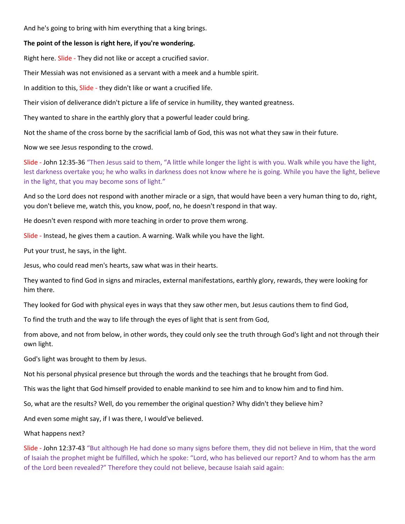And he's going to bring with him everything that a king brings.

## The point of the lesson is right here, if you're wondering.

Right here. Slide - They did not like or accept a crucified savior.

Their Messiah was not envisioned as a servant with a meek and a humble spirit.

In addition to this, Slide - they didn't like or want a crucified life.

Their vision of deliverance didn't picture a life of service in humility, they wanted greatness.

They wanted to share in the earthly glory that a powerful leader could bring.

Not the shame of the cross borne by the sacrificial lamb of God, this was not what they saw in their future.

Now we see Jesus responding to the crowd.

Slide - John 12:35-36 "Then Jesus said to them, "A little while longer the light is with you. Walk while you have the light, lest darkness overtake you; he who walks in darkness does not know where he is going. While you have the light, believe in the light, that you may become sons of light."

And so the Lord does not respond with another miracle or a sign, that would have been a very human thing to do, right, you don't believe me, watch this, you know, poof, no, he doesn't respond in that way.

He doesn't even respond with more teaching in order to prove them wrong.

Slide - Instead, he gives them a caution. A warning. Walk while you have the light.

Put your trust, he says, in the light.

Jesus, who could read men's hearts, saw what was in their hearts.

They wanted to find God in signs and miracles, external manifestations, earthly glory, rewards, they were looking for him there.

They looked for God with physical eyes in ways that they saw other men, but Jesus cautions them to find God,

To find the truth and the way to life through the eyes of light that is sent from God,

from above, and not from below, in other words, they could only see the truth through God's light and not through their own light.

God's light was brought to them by Jesus.

Not his personal physical presence but through the words and the teachings that he brought from God.

This was the light that God himself provided to enable mankind to see him and to know him and to find him.

So, what are the results? Well, do you remember the original question? Why didn't they believe him?

And even some might say, if I was there, I would've believed.

What happens next?

Slide - John 12:37-43 "But although He had done so many signs before them, they did not believe in Him, that the word of Isaiah the prophet might be fulfilled, which he spoke: "Lord, who has believed our report? And to whom has the arm of the Lord been revealed?" Therefore they could not believe, because Isaiah said again: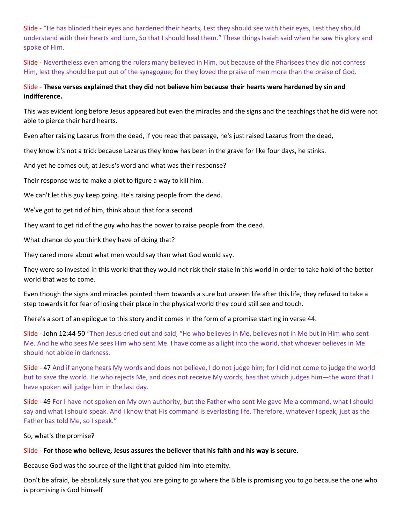Slide - "He has blinded their eyes and hardened their hearts, Lest they should see with their eyes, Lest they should understand with their hearts and turn, So that I should heal them." These things Isaiah said when he saw His glory and spoke of Him.

Slide - Nevertheless even among the rulers many believed in Him, but because of the Pharisees they did not confess Him, lest they should be put out of the synagogue; for they loved the praise of men more than the praise of God.

# Slide - These verses explained that they did not believe him because their hearts were hardened by sin and indifference.

This was evident long before Jesus appeared but even the miracles and the signs and the teachings that he did were not able to pierce their hard hearts.

Even after raising Lazarus from the dead, if you read that passage, he's just raised Lazarus from the dead,

they know it's not a trick because Lazarus they know has been in the grave for like four days, he stinks.

And yet he comes out, at Jesus's word and what was their response?

Their response was to make a plot to figure a way to kill him.

We can't let this guy keep going. He's raising people from the dead.

We've got to get rid of him, think about that for a second.

They want to get rid of the guy who has the power to raise people from the dead.

What chance do you think they have of doing that?

They cared more about what men would say than what God would say.

They were so invested in this world that they would not risk their stake in this world in order to take hold of the better world that was to come.

Even though the signs and miracles pointed them towards a sure but unseen life after this life, they refused to take a step towards it for fear of losing their place in the physical world they could still see and touch.

There's a sort of an epilogue to this story and it comes in the form of a promise starting in verse 44.

Slide - John 12:44-50 "Then Jesus cried out and said, "He who believes in Me, believes not in Me but in Him who sent Me. And he who sees Me sees Him who sent Me. I have come as a light into the world, that whoever believes in Me should not abide in darkness.

Slide - 47 And if anyone hears My words and does not believe, I do not judge him; for I did not come to judge the world but to save the world. He who rejects Me, and does not receive My words, has that which judges him—the word that I have spoken will judge him in the last day.

Slide - 49 For I have not spoken on My own authority; but the Father who sent Me gave Me a command, what I should say and what I should speak. And I know that His command is everlasting life. Therefore, whatever I speak, just as the Father has told Me, so I speak."

So, what's the promise?

## Slide - For those who believe, Jesus assures the believer that his faith and his way is secure.

Because God was the source of the light that guided him into eternity.

Don't be afraid, be absolutely sure that you are going to go where the Bible is promising you to go because the one who is promising is God himself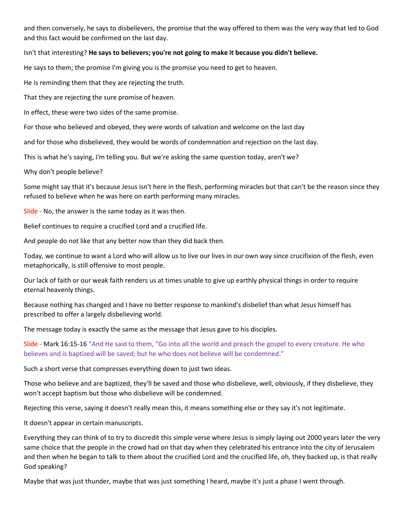and then conversely, he says to disbelievers, the promise that the way offered to them was the very way that led to God and this fact would be confirmed on the last day.

## Isn't that interesting? He says to believers; you're not going to make it because you didn't believe.

He says to them; the promise I'm giving you is the promise you need to get to heaven.

He is reminding them that they are rejecting the truth.

That they are rejecting the sure promise of heaven.

In effect, these were two sides of the same promise.

For those who believed and obeyed, they were words of salvation and welcome on the last day

and for those who disbelieved, they would be words of condemnation and rejection on the last day.

This is what he's saying, I'm telling you. But we're asking the same question today, aren't we?

Why don't people believe?

Some might say that it's because Jesus isn't here in the flesh, performing miracles but that can't be the reason since they refused to believe when he was here on earth performing many miracles.

Slide - No, the answer is the same today as it was then.

Belief continues to require a crucified Lord and a crucified life.

And people do not like that any better now than they did back then.

Today, we continue to want a Lord who will allow us to live our lives in our own way since crucifixion of the flesh, even metaphorically, is still offensive to most people.

Our lack of faith or our weak faith renders us at times unable to give up earthly physical things in order to require eternal heavenly things.

Because nothing has changed and I have no better response to mankind's disbelief than what Jesus himself has prescribed to offer a largely disbelieving world.

The message today is exactly the same as the message that Jesus gave to his disciples.

Slide - Mark 16:15-16 "And He said to them, "Go into all the world and preach the gospel to every creature. He who believes and is baptized will be saved; but he who does not believe will be condemned."

Such a short verse that compresses everything down to just two ideas.

Those who believe and are baptized, they'll be saved and those who disbelieve, well, obviously, if they disbelieve, they won't accept baptism but those who disbelieve will be condemned.

Rejecting this verse, saying it doesn't really mean this, it means something else or they say it's not legitimate.

It doesn't appear in certain manuscripts.

Everything they can think of to try to discredit this simple verse where Jesus is simply laying out 2000 years later the very same choice that the people in the crowd had on that day when they celebrated his entrance into the city of Jerusalem and then when he began to talk to them about the crucified Lord and the crucified life, oh, they backed up, is that really God speaking?

Maybe that was just thunder, maybe that was just something I heard, maybe it's just a phase I went through.